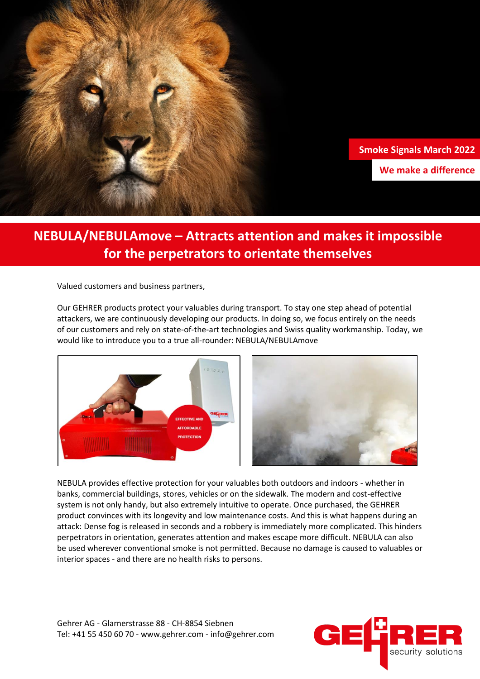

## **NEBULA/NEBULAmove – Attracts attention and makes it impossible for the perpetrators to orientate themselves**

Valued customers and business partners,

Our GEHRER products protect your valuables during transport. To stay one step ahead of potential attackers, we are continuously developing our products. In doing so, we focus entirely on the needs of our customers and rely on state-of-the-art technologies and Swiss quality workmanship. Today, we would like to introduce you to a true all-rounder: NEBULA/NEBULAmove



NEBULA provides effective protection for your valuables both outdoors and indoors - whether in banks, commercial buildings, stores, vehicles or on the sidewalk. The modern and cost-effective system is not only handy, but also extremely intuitive to operate. Once purchased, the GEHRER product convinces with its longevity and low maintenance costs. And this is what happens during an attack: Dense fog is released in seconds and a robbery is immediately more complicated. This hinders perpetrators in orientation, generates attention and makes escape more difficult. NEBULA can also be used wherever conventional smoke is not permitted. Because no damage is caused to valuables or interior spaces - and there are no health risks to persons.

Gehrer AG - Glarnerstrasse 88 - CH-8854 Siebnen Tel: +41 55 450 60 70 - www.gehrer.com - info@gehrer.com